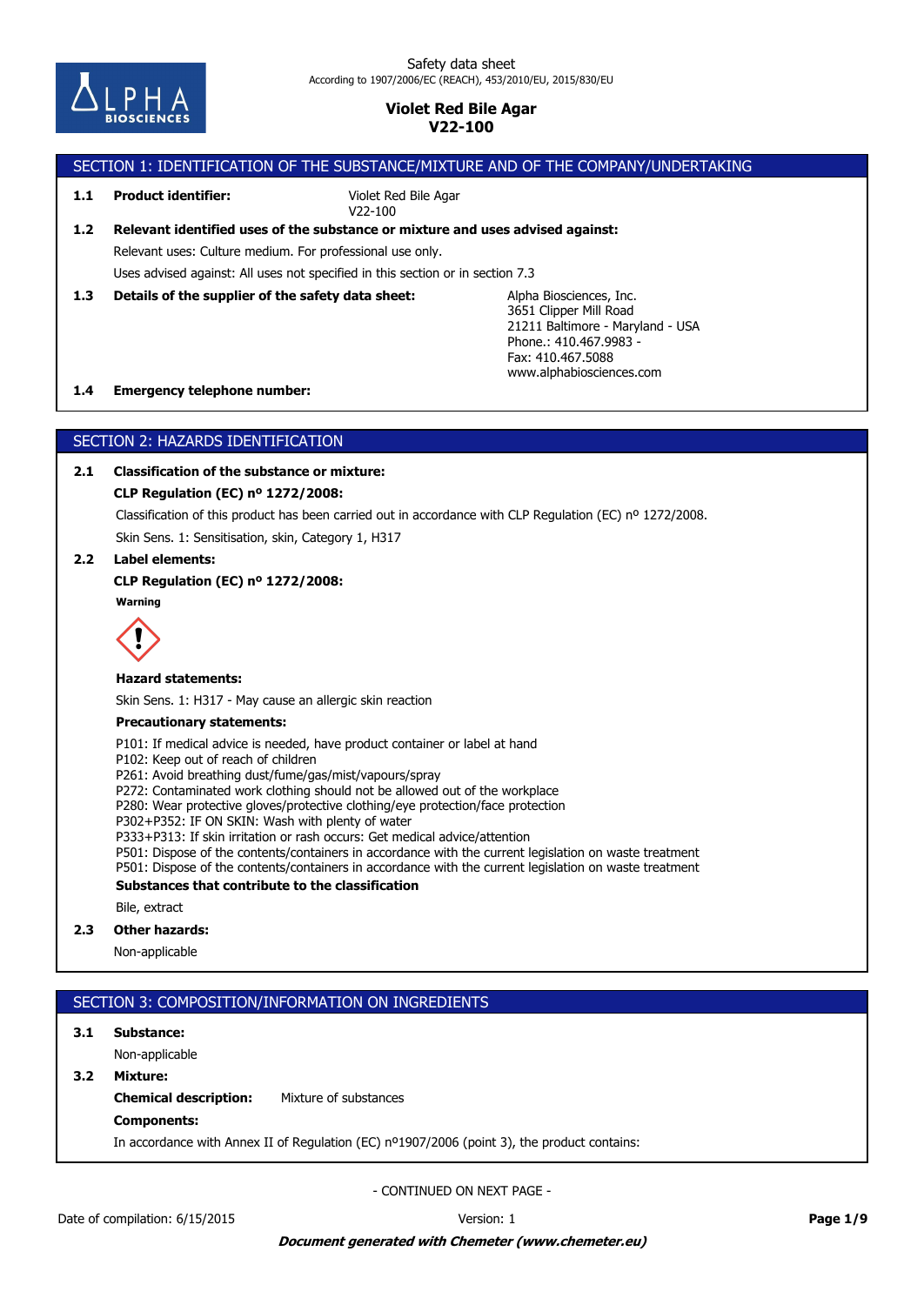

# SECTION 1: IDENTIFICATION OF THE SUBSTANCE/MIXTURE AND OF THE COMPANY/UNDERTAKING

**1.1 Product identifier:**

Violet Red Bile Agar V22-100

# Relevant uses: Culture medium. For professional use only. **1.2 Relevant identified uses of the substance or mixture and uses advised against:**

Uses advised against: All uses not specified in this section or in section 7.3

**1.3 Details of the supplier of the safety data sheet:**

Alpha Biosciences, Inc. 3651 Clipper Mill Road 21211 Baltimore - Maryland - USA Phone.: 410.467.9983 - Fax: 410.467.5088 www.alphabiosciences.com

## **1.4 Emergency telephone number:**

# SECTION 2: HAZARDS IDENTIFICATION

# **2.1 Classification of the substance or mixture:**

## **CLP Regulation (EC) nº 1272/2008:**

Classification of this product has been carried out in accordance with CLP Regulation (EC) nº 1272/2008.

Skin Sens. 1: Sensitisation, skin, Category 1, H317

# **2.2 Label elements:**

## **CLP Regulation (EC) nº 1272/2008:**

**Warning**



## **Hazard statements:**

Skin Sens. 1: H317 - May cause an allergic skin reaction

## **Precautionary statements:**

P101: If medical advice is needed, have product container or label at hand

P102: Keep out of reach of children

P261: Avoid breathing dust/fume/gas/mist/vapours/spray

P272: Contaminated work clothing should not be allowed out of the workplace

P280: Wear protective gloves/protective clothing/eye protection/face protection

P302+P352: IF ON SKIN: Wash with plenty of water

P333+P313: If skin irritation or rash occurs: Get medical advice/attention

P501: Dispose of the contents/containers in accordance with the current legislation on waste treatment

P501: Dispose of the contents/containers in accordance with the current legislation on waste treatment

## **Substances that contribute to the classification**

Bile, extract

# **2.3 Other hazards:**

Non-applicable

# SECTION 3: COMPOSITION/INFORMATION ON INGREDIENTS

# **3.1 Substance:**

Non-applicable

## **3.2 Mixture:**

**Chemical description:** Mixture of substances

# **Components:**

In accordance with Annex II of Regulation (EC) nº1907/2006 (point 3), the product contains: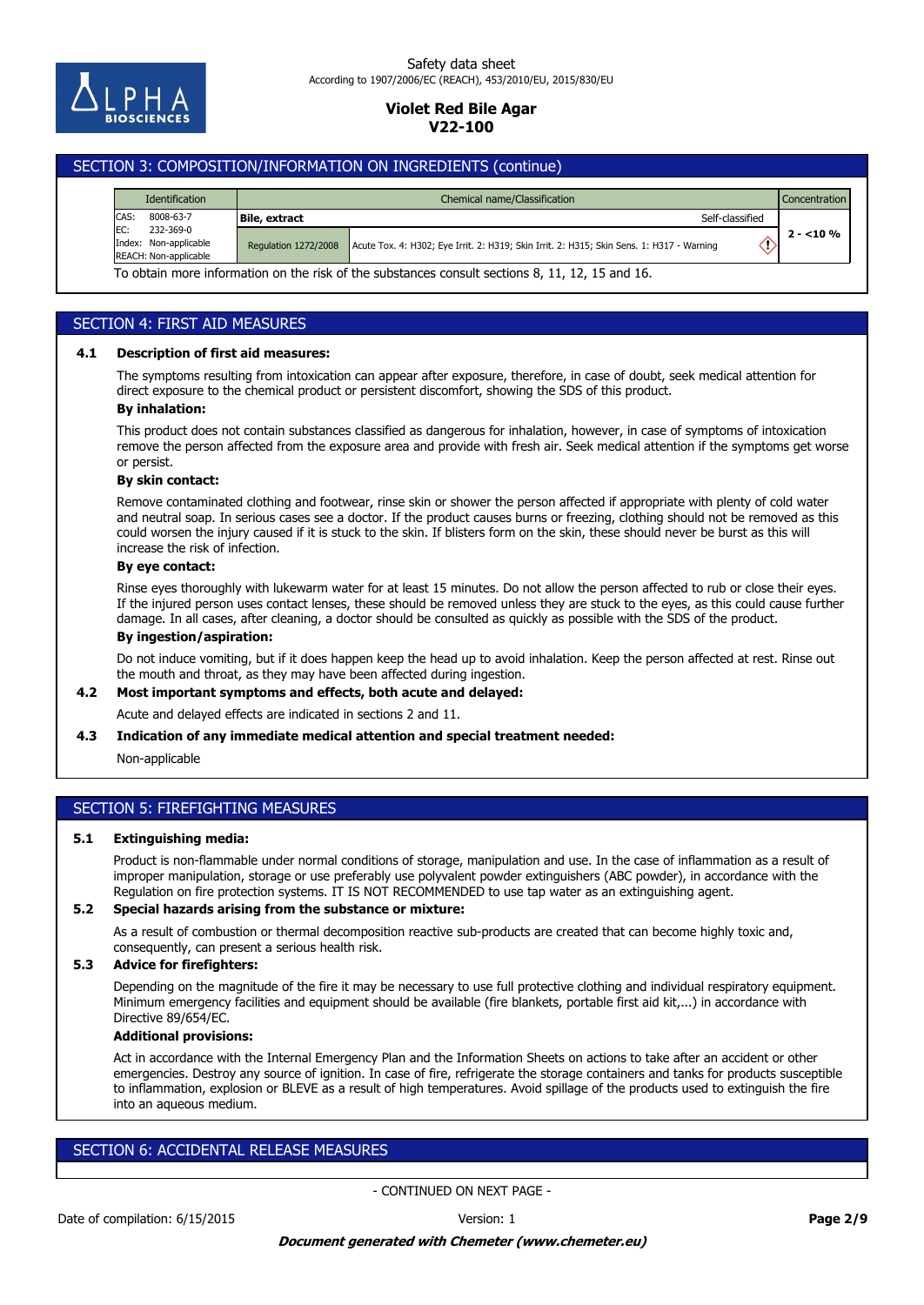

### Safety data sheet According to 1907/2006/EC (REACH), 453/2010/EU, 2015/830/EU

# **Violet Red Bile Agar V22-100**

# SECTION 3: COMPOSITION/INFORMATION ON INGREDIENTS (continue)

|      | Identification                                                                                  | Chemical name/Classification<br><b>Concentration</b> |                                                                                           |            |  |  |
|------|-------------------------------------------------------------------------------------------------|------------------------------------------------------|-------------------------------------------------------------------------------------------|------------|--|--|
| CAS: | 8008-63-7                                                                                       | <b>Bile, extract</b>                                 | Self-classified                                                                           |            |  |  |
| EC:  | 232-369-0<br>Index: Non-applicable<br><b>REACH: Non-applicable</b>                              | <b>Regulation 1272/2008</b>                          | Acute Tox. 4: H302; Eye Irrit. 2: H319; Skin Irrit. 2: H315; Skin Sens. 1: H317 - Warning | $2 - 10\%$ |  |  |
|      | To obtain more information on the risk of the substances consult sections 8, 11, 12, 15 and 16. |                                                      |                                                                                           |            |  |  |

# SECTION 4: FIRST AID MEASURES

## **4.1 Description of first aid measures:**

The symptoms resulting from intoxication can appear after exposure, therefore, in case of doubt, seek medical attention for direct exposure to the chemical product or persistent discomfort, showing the SDS of this product.

# **By inhalation:**

This product does not contain substances classified as dangerous for inhalation, however, in case of symptoms of intoxication remove the person affected from the exposure area and provide with fresh air. Seek medical attention if the symptoms get worse or persist.

#### **By skin contact:**

Remove contaminated clothing and footwear, rinse skin or shower the person affected if appropriate with plenty of cold water and neutral soap. In serious cases see a doctor. If the product causes burns or freezing, clothing should not be removed as this could worsen the injury caused if it is stuck to the skin. If blisters form on the skin, these should never be burst as this will increase the risk of infection.

## **By eye contact:**

Rinse eyes thoroughly with lukewarm water for at least 15 minutes. Do not allow the person affected to rub or close their eyes. If the injured person uses contact lenses, these should be removed unless they are stuck to the eyes, as this could cause further damage. In all cases, after cleaning, a doctor should be consulted as quickly as possible with the SDS of the product.

### **By ingestion/aspiration:**

Do not induce vomiting, but if it does happen keep the head up to avoid inhalation. Keep the person affected at rest. Rinse out the mouth and throat, as they may have been affected during ingestion.

## **4.2 Most important symptoms and effects, both acute and delayed:**

Acute and delayed effects are indicated in sections 2 and 11.

### **4.3 Indication of any immediate medical attention and special treatment needed:**

#### Non-applicable

# SECTION 5: FIREFIGHTING MEASURES

## **5.1 Extinguishing media:**

Product is non-flammable under normal conditions of storage, manipulation and use. In the case of inflammation as a result of improper manipulation, storage or use preferably use polyvalent powder extinguishers (ABC powder), in accordance with the Regulation on fire protection systems. IT IS NOT RECOMMENDED to use tap water as an extinguishing agent.

## **5.2 Special hazards arising from the substance or mixture:**

As a result of combustion or thermal decomposition reactive sub-products are created that can become highly toxic and, consequently, can present a serious health risk.

## **5.3 Advice for firefighters:**

Depending on the magnitude of the fire it may be necessary to use full protective clothing and individual respiratory equipment. Minimum emergency facilities and equipment should be available (fire blankets, portable first aid kit,...) in accordance with Directive 89/654/EC.

## **Additional provisions:**

Act in accordance with the Internal Emergency Plan and the Information Sheets on actions to take after an accident or other emergencies. Destroy any source of ignition. In case of fire, refrigerate the storage containers and tanks for products susceptible to inflammation, explosion or BLEVE as a result of high temperatures. Avoid spillage of the products used to extinguish the fire into an aqueous medium.

# SECTION 6: ACCIDENTAL RELEASE MEASURES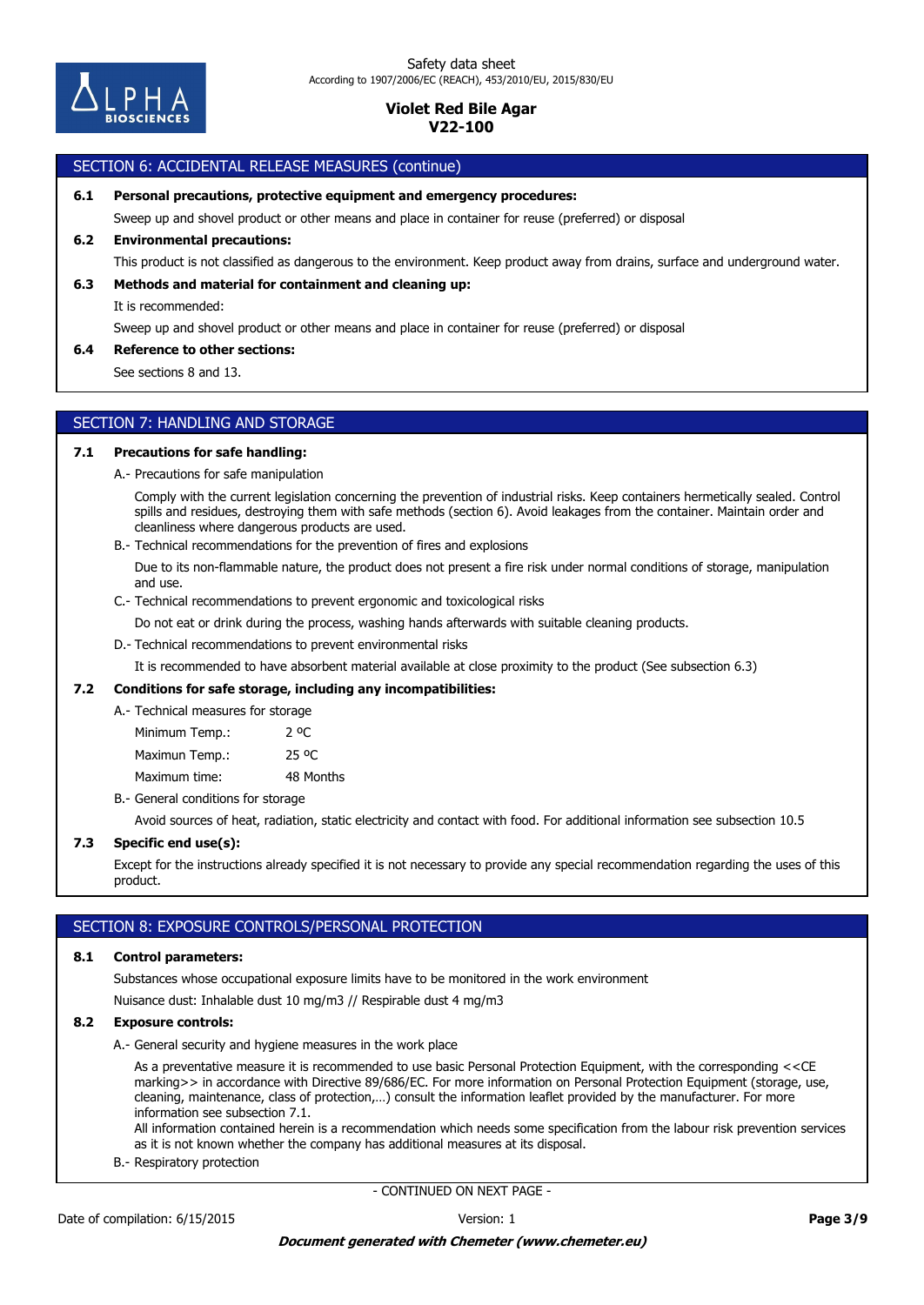

# SECTION 6: ACCIDENTAL RELEASE MEASURES (continue)

**6.1 Personal precautions, protective equipment and emergency procedures:**

Sweep up and shovel product or other means and place in container for reuse (preferred) or disposal

## **6.2 Environmental precautions:**

This product is not classified as dangerous to the environment. Keep product away from drains, surface and underground water.

### **6.3 Methods and material for containment and cleaning up:**

It is recommended:

Sweep up and shovel product or other means and place in container for reuse (preferred) or disposal

### **6.4 Reference to other sections:**

See sections 8 and 13.

## SECTION 7: HANDLING AND STORAGE

### **7.1 Precautions for safe handling:**

A.- Precautions for safe manipulation

Comply with the current legislation concerning the prevention of industrial risks. Keep containers hermetically sealed. Control spills and residues, destroying them with safe methods (section 6). Avoid leakages from the container. Maintain order and cleanliness where dangerous products are used.

B.- Technical recommendations for the prevention of fires and explosions

Due to its non-flammable nature, the product does not present a fire risk under normal conditions of storage, manipulation and use.

C.- Technical recommendations to prevent ergonomic and toxicological risks

Do not eat or drink during the process, washing hands afterwards with suitable cleaning products.

## D.- Technical recommendations to prevent environmental risks

It is recommended to have absorbent material available at close proximity to the product (See subsection 6.3)

### **7.2 Conditions for safe storage, including any incompatibilities:**

A.- Technical measures for storage

Maximum time: 48 Months Maximun Temp.: 25 °C Minimum Temp.: 2 °C

B.- General conditions for storage

Avoid sources of heat, radiation, static electricity and contact with food. For additional information see subsection 10.5

### **7.3 Specific end use(s):**

Except for the instructions already specified it is not necessary to provide any special recommendation regarding the uses of this product.

## SECTION 8: EXPOSURE CONTROLS/PERSONAL PROTECTION

### **8.1 Control parameters:**

Substances whose occupational exposure limits have to be monitored in the work environment

Nuisance dust: Inhalable dust 10 mg/m3 // Respirable dust 4 mg/m3

## **8.2 Exposure controls:**

A.- General security and hygiene measures in the work place

As a preventative measure it is recommended to use basic Personal Protection Equipment, with the corresponding <<CE marking>> in accordance with Directive 89/686/EC. For more information on Personal Protection Equipment (storage, use, cleaning, maintenance, class of protection,…) consult the information leaflet provided by the manufacturer. For more information see subsection 7.1.

All information contained herein is a recommendation which needs some specification from the labour risk prevention services as it is not known whether the company has additional measures at its disposal.

B.- Respiratory protection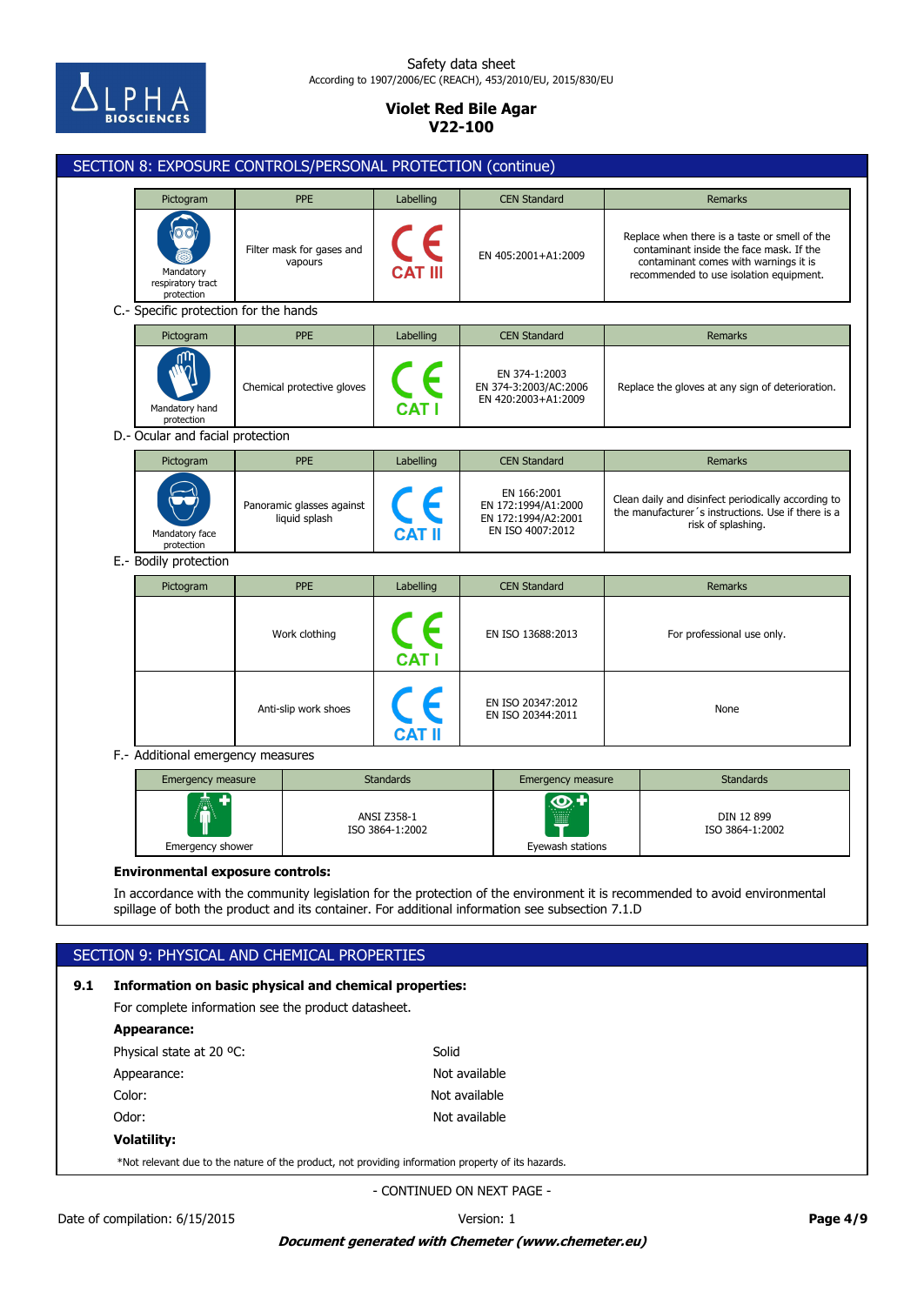

## Safety data sheet According to 1907/2006/EC (REACH), 453/2010/EU, 2015/830/EU

# **Violet Red Bile Agar V22-100**

|                                         | Pictogram<br>Mandatory<br>respiratory tract<br>protection<br>C.- Specific protection for the hands<br>Pictogram<br>Mandatory hand<br>protection<br>D.- Ocular and facial protection<br>Pictogram | PPE<br>Filter mask for gases and<br>vapours<br>PPE<br>Chemical protective gloves<br>PPE | Labelling<br>CE<br>Labelling<br>$\epsilon$ | <b>CEN Standard</b><br>EN 405:2001+A1:2009<br><b>CEN Standard</b><br>EN 374-1:2003<br>EN 374-3:2003/AC:2006<br>EN 420:2003+A1:2009 |                                                  | <b>Remarks</b><br>Replace when there is a taste or smell of the<br>contaminant inside the face mask. If the<br>contaminant comes with warnings it is<br>recommended to use isolation equipment.<br><b>Remarks</b> |  |  |
|-----------------------------------------|--------------------------------------------------------------------------------------------------------------------------------------------------------------------------------------------------|-----------------------------------------------------------------------------------------|--------------------------------------------|------------------------------------------------------------------------------------------------------------------------------------|--------------------------------------------------|-------------------------------------------------------------------------------------------------------------------------------------------------------------------------------------------------------------------|--|--|
|                                         |                                                                                                                                                                                                  |                                                                                         |                                            |                                                                                                                                    |                                                  |                                                                                                                                                                                                                   |  |  |
|                                         |                                                                                                                                                                                                  |                                                                                         |                                            |                                                                                                                                    |                                                  |                                                                                                                                                                                                                   |  |  |
|                                         |                                                                                                                                                                                                  |                                                                                         |                                            |                                                                                                                                    |                                                  |                                                                                                                                                                                                                   |  |  |
|                                         |                                                                                                                                                                                                  |                                                                                         |                                            |                                                                                                                                    |                                                  |                                                                                                                                                                                                                   |  |  |
|                                         |                                                                                                                                                                                                  |                                                                                         |                                            |                                                                                                                                    | Replace the gloves at any sign of deterioration. |                                                                                                                                                                                                                   |  |  |
|                                         |                                                                                                                                                                                                  |                                                                                         |                                            |                                                                                                                                    |                                                  |                                                                                                                                                                                                                   |  |  |
|                                         |                                                                                                                                                                                                  |                                                                                         | Labelling                                  | <b>CEN Standard</b>                                                                                                                | Remarks                                          |                                                                                                                                                                                                                   |  |  |
|                                         | Mandatory face<br>protection                                                                                                                                                                     | Panoramic glasses against<br>liquid splash                                              |                                            | EN 166:2001<br>EN 172:1994/A1:2000<br>EN 172:1994/A2:2001<br>EN ISO 4007:2012                                                      |                                                  | Clean daily and disinfect periodically according to<br>the manufacturer's instructions. Use if there is a<br>risk of splashing.                                                                                   |  |  |
|                                         | E.- Bodily protection                                                                                                                                                                            |                                                                                         |                                            |                                                                                                                                    |                                                  |                                                                                                                                                                                                                   |  |  |
|                                         | Pictogram                                                                                                                                                                                        | PPE                                                                                     | Labelling                                  | <b>CEN Standard</b>                                                                                                                |                                                  | <b>Remarks</b>                                                                                                                                                                                                    |  |  |
|                                         |                                                                                                                                                                                                  | Work clothing                                                                           |                                            | EN ISO 13688:2013                                                                                                                  | For professional use only.                       |                                                                                                                                                                                                                   |  |  |
|                                         |                                                                                                                                                                                                  | Anti-slip work shoes                                                                    |                                            | EN ISO 20347:2012<br>EN ISO 20344:2011                                                                                             | None                                             |                                                                                                                                                                                                                   |  |  |
|                                         | F.- Additional emergency measures                                                                                                                                                                |                                                                                         |                                            |                                                                                                                                    |                                                  |                                                                                                                                                                                                                   |  |  |
|                                         |                                                                                                                                                                                                  | <b>Emergency measure</b>                                                                |                                            | <b>Standards</b><br>Emergency measure                                                                                              |                                                  | <b>Standards</b>                                                                                                                                                                                                  |  |  |
|                                         | Emergency shower                                                                                                                                                                                 |                                                                                         | ANSI Z358-1<br>ISO 3864-1:2002             | ထ<br>Eyewash stations                                                                                                              | DIN 12 899<br>ISO 3864-1:2002                    |                                                                                                                                                                                                                   |  |  |
| <b>Environmental exposure controls:</b> |                                                                                                                                                                                                  |                                                                                         |                                            |                                                                                                                                    |                                                  |                                                                                                                                                                                                                   |  |  |
|                                         |                                                                                                                                                                                                  |                                                                                         |                                            | spillage of both the product and its container. For additional information see subsection 7.1.D                                    |                                                  | In accordance with the community legislation for the protection of the environment it is recommended to avoid environmental                                                                                       |  |  |
|                                         |                                                                                                                                                                                                  |                                                                                         |                                            |                                                                                                                                    |                                                  |                                                                                                                                                                                                                   |  |  |
|                                         |                                                                                                                                                                                                  | SECTION 9: PHYSICAL AND CHEMICAL PROPERTIES                                             |                                            |                                                                                                                                    |                                                  |                                                                                                                                                                                                                   |  |  |

For complete information see the product datasheet.

| Appearance:                                                                                        |               |
|----------------------------------------------------------------------------------------------------|---------------|
| Physical state at 20 °C:                                                                           | Solid         |
| Appearance:                                                                                        | Not available |
| Color:                                                                                             | Not available |
| Odor:                                                                                              | Not available |
| <b>Volatility:</b>                                                                                 |               |
| *Not relevant due to the nature of the product, not providing information property of its hazards. |               |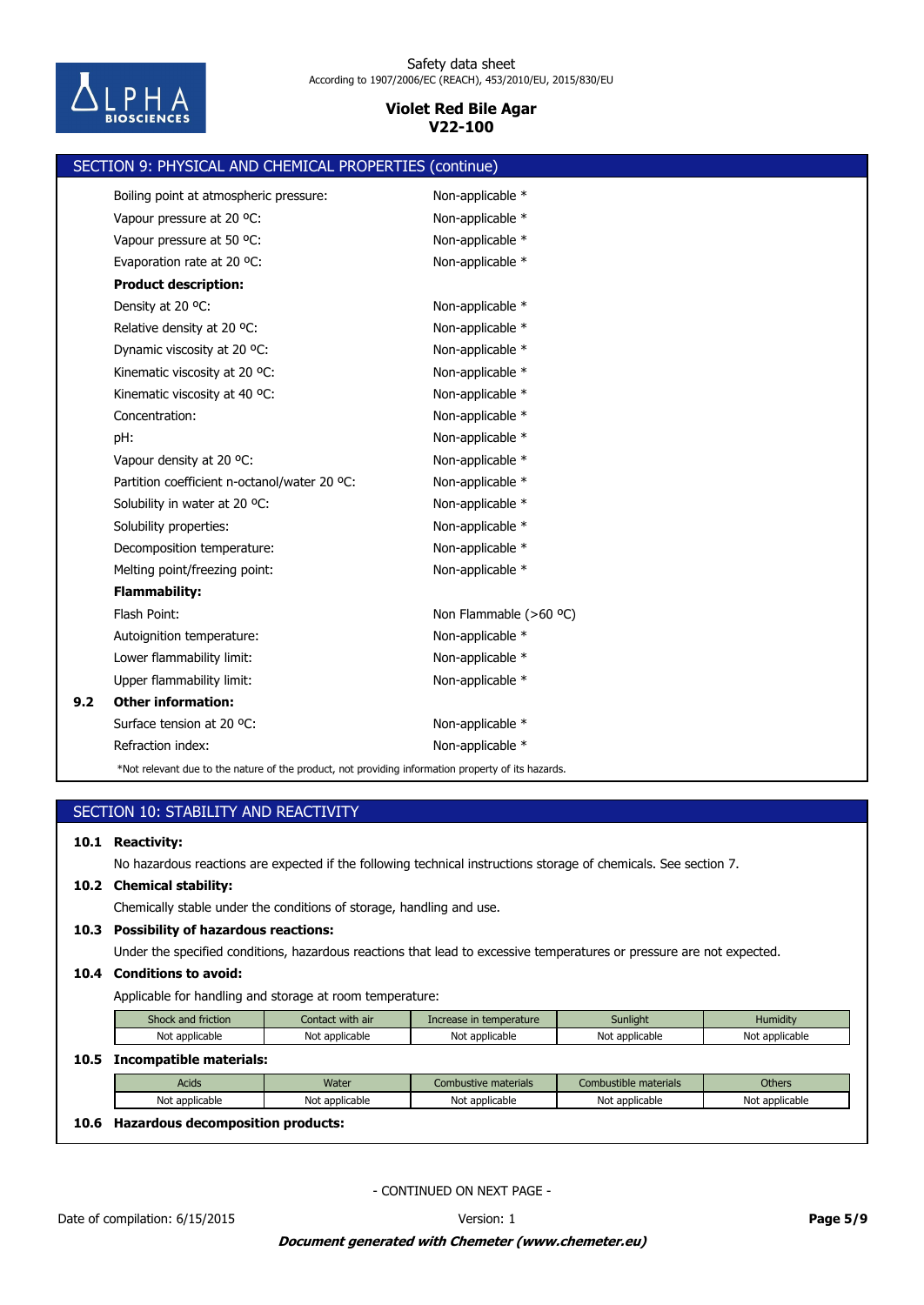

|     | SECTION 9: PHYSICAL AND CHEMICAL PROPERTIES (continue)                                             |                        |
|-----|----------------------------------------------------------------------------------------------------|------------------------|
|     | Boiling point at atmospheric pressure:                                                             | Non-applicable *       |
|     | Vapour pressure at 20 °C:                                                                          | Non-applicable *       |
|     | Vapour pressure at 50 °C:                                                                          | Non-applicable *       |
|     | Evaporation rate at 20 °C:                                                                         | Non-applicable *       |
|     | <b>Product description:</b>                                                                        |                        |
|     | Density at 20 °C:                                                                                  | Non-applicable *       |
|     | Relative density at 20 °C:                                                                         | Non-applicable *       |
|     | Dynamic viscosity at 20 °C:                                                                        | Non-applicable *       |
|     | Kinematic viscosity at 20 °C:                                                                      | Non-applicable *       |
|     | Kinematic viscosity at 40 °C:                                                                      | Non-applicable *       |
|     | Concentration:                                                                                     | Non-applicable *       |
|     | pH:                                                                                                | Non-applicable *       |
|     | Vapour density at 20 °C:                                                                           | Non-applicable *       |
|     | Partition coefficient n-octanol/water 20 °C:                                                       | Non-applicable *       |
|     | Solubility in water at 20 °C:                                                                      | Non-applicable *       |
|     | Solubility properties:                                                                             | Non-applicable *       |
|     | Decomposition temperature:                                                                         | Non-applicable *       |
|     | Melting point/freezing point:                                                                      | Non-applicable *       |
|     | <b>Flammability:</b>                                                                               |                        |
|     | Flash Point:                                                                                       | Non Flammable (>60 °C) |
|     | Autoignition temperature:                                                                          | Non-applicable *       |
|     | Lower flammability limit:                                                                          | Non-applicable *       |
|     | Upper flammability limit:                                                                          | Non-applicable *       |
| 9.2 | <b>Other information:</b>                                                                          |                        |
|     | Surface tension at 20 °C:                                                                          | Non-applicable *       |
|     | Refraction index:                                                                                  | Non-applicable *       |
|     | *Not relevant due to the nature of the product, not providing information property of its hazards. |                        |

# SECTION 10: STABILITY AND REACTIVITY

## **10.1 Reactivity:**

No hazardous reactions are expected if the following technical instructions storage of chemicals. See section 7.

### **10.2 Chemical stability:**

Chemically stable under the conditions of storage, handling and use.

## **10.3 Possibility of hazardous reactions:**

Under the specified conditions, hazardous reactions that lead to excessive temperatures or pressure are not expected.

## **10.4 Conditions to avoid:**

Applicable for handling and storage at room temperature:

|      | Shock and friction      | Contact with air | Increase in temperature | Sunlight              | Humidity       |  |  |
|------|-------------------------|------------------|-------------------------|-----------------------|----------------|--|--|
|      | Not applicable          | Not applicable   | Not applicable          | Not applicable        | Not applicable |  |  |
| 10.5 | Incompatible materials: |                  |                         |                       |                |  |  |
|      | <b>Acids</b>            | Water            | Combustive materials    | Combustible materials | <b>Others</b>  |  |  |
|      |                         |                  |                         |                       |                |  |  |
|      | Not applicable          | Not applicable   | Not applicable          | Not applicable        | Not applicable |  |  |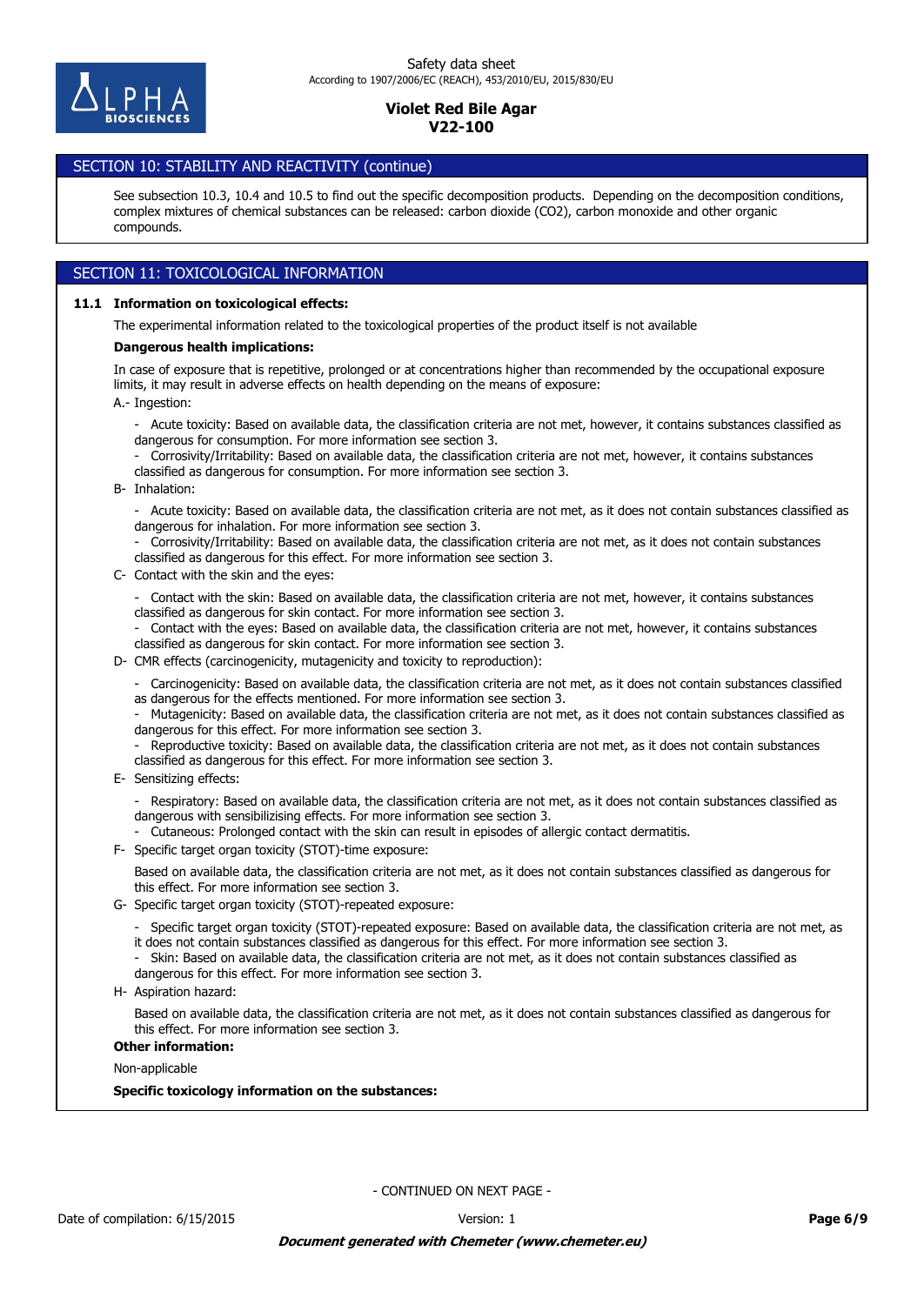

# SECTION 10: STABILITY AND REACTIVITY (continue)

See subsection 10.3, 10.4 and 10.5 to find out the specific decomposition products. Depending on the decomposition conditions, complex mixtures of chemical substances can be released: carbon dioxide (CO2), carbon monoxide and other organic compounds.

# SECTION 11: TOXICOLOGICAL INFORMATION

### **11.1 Information on toxicological effects:**

The experimental information related to the toxicological properties of the product itself is not available

### **Dangerous health implications:**

A.- Ingestion: In case of exposure that is repetitive, prolonged or at concentrations higher than recommended by the occupational exposure limits, it may result in adverse effects on health depending on the means of exposure:

- Acute toxicity: Based on available data, the classification criteria are not met, however, it contains substances classified as dangerous for consumption. For more information see section 3.
- Corrosivity/Irritability: Based on available data, the classification criteria are not met, however, it contains substances classified as dangerous for consumption. For more information see section 3.
- B- Inhalation:
	- Acute toxicity: Based on available data, the classification criteria are not met, as it does not contain substances classified as dangerous for inhalation. For more information see section 3.

- Corrosivity/Irritability: Based on available data, the classification criteria are not met, as it does not contain substances classified as dangerous for this effect. For more information see section 3.

C- Contact with the skin and the eyes:

- Contact with the skin: Based on available data, the classification criteria are not met, however, it contains substances classified as dangerous for skin contact. For more information see section 3.

- Contact with the eyes: Based on available data, the classification criteria are not met, however, it contains substances classified as dangerous for skin contact. For more information see section 3.

D- CMR effects (carcinogenicity, mutagenicity and toxicity to reproduction):

- Carcinogenicity: Based on available data, the classification criteria are not met, as it does not contain substances classified as dangerous for the effects mentioned. For more information see section 3.

- Mutagenicity: Based on available data, the classification criteria are not met, as it does not contain substances classified as dangerous for this effect. For more information see section 3.

Reproductive toxicity: Based on available data, the classification criteria are not met, as it does not contain substances classified as dangerous for this effect. For more information see section 3.

E- Sensitizing effects:

- Respiratory: Based on available data, the classification criteria are not met, as it does not contain substances classified as dangerous with sensibilizising effects. For more information see section 3.

- Cutaneous: Prolonged contact with the skin can result in episodes of allergic contact dermatitis.

F- Specific target organ toxicity (STOT)-time exposure:

Based on available data, the classification criteria are not met, as it does not contain substances classified as dangerous for this effect. For more information see section 3.

G- Specific target organ toxicity (STOT)-repeated exposure:

- Specific target organ toxicity (STOT)-repeated exposure: Based on available data, the classification criteria are not met, as it does not contain substances classified as dangerous for this effect. For more information see section 3.

- Skin: Based on available data, the classification criteria are not met, as it does not contain substances classified as dangerous for this effect. For more information see section 3.

H- Aspiration hazard:

Based on available data, the classification criteria are not met, as it does not contain substances classified as dangerous for this effect. For more information see section 3.

### **Other information:**

Non-applicable

**Specific toxicology information on the substances:**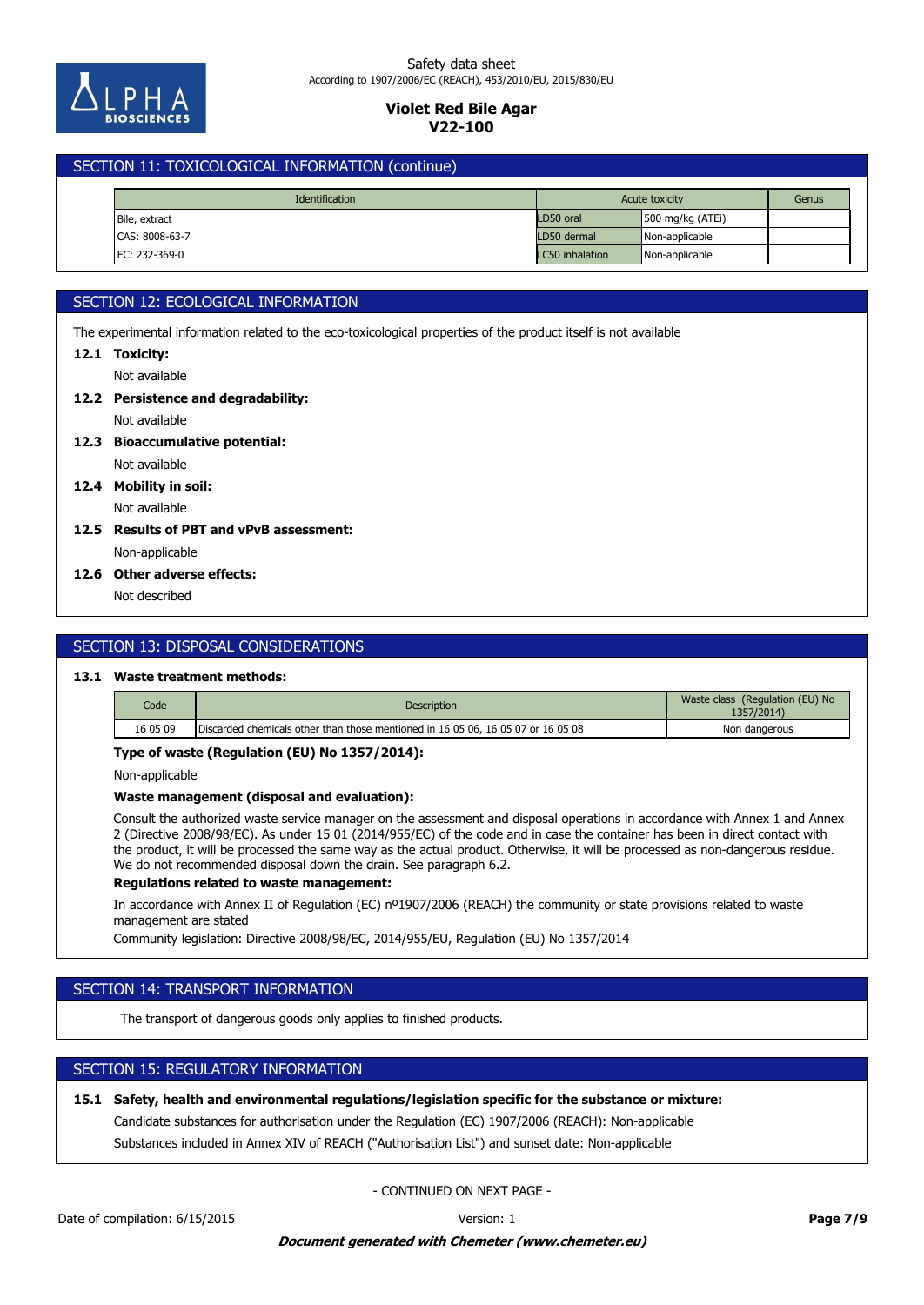

# SECTION 11: TOXICOLOGICAL INFORMATION (continue)

| <b>Identification</b> |  | Acute toxicity |                 | Genus              |  |
|-----------------------|--|----------------|-----------------|--------------------|--|
| Bile, extract         |  |                | LD50 oral       | 500 mg/kg $(ATEi)$ |  |
| CAS: 8008-63-7        |  |                | LD50 dermal     | Non-applicable     |  |
| EC: 232-369-0         |  |                | LC50 inhalation | Non-applicable     |  |

# SECTION 12: ECOLOGICAL INFORMATION

The experimental information related to the eco-toxicological properties of the product itself is not available

# **12.1 Toxicity:**

Not available

# **12.2 Persistence and degradability:**

Not available

# **12.3 Bioaccumulative potential:**

Not available

**12.4 Mobility in soil:**

# Not available

# Non-applicable **12.5 Results of PBT and vPvB assessment:**

## **12.6 Other adverse effects:**

Not described

# SECTION 13: DISPOSAL CONSIDERATIONS

# **13.1 Waste treatment methods:**

| Code     | <b>Description</b>                                                               | Waste class (Regulation (EU) No<br>1357/2014) |
|----------|----------------------------------------------------------------------------------|-----------------------------------------------|
| 16 05 09 | Discarded chemicals other than those mentioned in 16 05 06, 16 05 07 or 16 05 08 | Non dangerous                                 |

## **Type of waste (Regulation (EU) No 1357/2014):**

Non-applicable

## **Waste management (disposal and evaluation):**

Consult the authorized waste service manager on the assessment and disposal operations in accordance with Annex 1 and Annex 2 (Directive 2008/98/EC). As under 15 01 (2014/955/EC) of the code and in case the container has been in direct contact with the product, it will be processed the same way as the actual product. Otherwise, it will be processed as non-dangerous residue. We do not recommended disposal down the drain. See paragraph 6.2.

## **Regulations related to waste management:**

In accordance with Annex II of Regulation (EC) nº1907/2006 (REACH) the community or state provisions related to waste management are stated

Community legislation: Directive 2008/98/EC, 2014/955/EU, Regulation (EU) No 1357/2014

# SECTION 14: TRANSPORT INFORMATION

The transport of dangerous goods only applies to finished products.

# SECTION 15: REGULATORY INFORMATION

## **15.1 Safety, health and environmental regulations/legislation specific for the substance or mixture:**

Candidate substances for authorisation under the Regulation (EC) 1907/2006 (REACH): Non-applicable

Substances included in Annex XIV of REACH ("Authorisation List") and sunset date: Non-applicable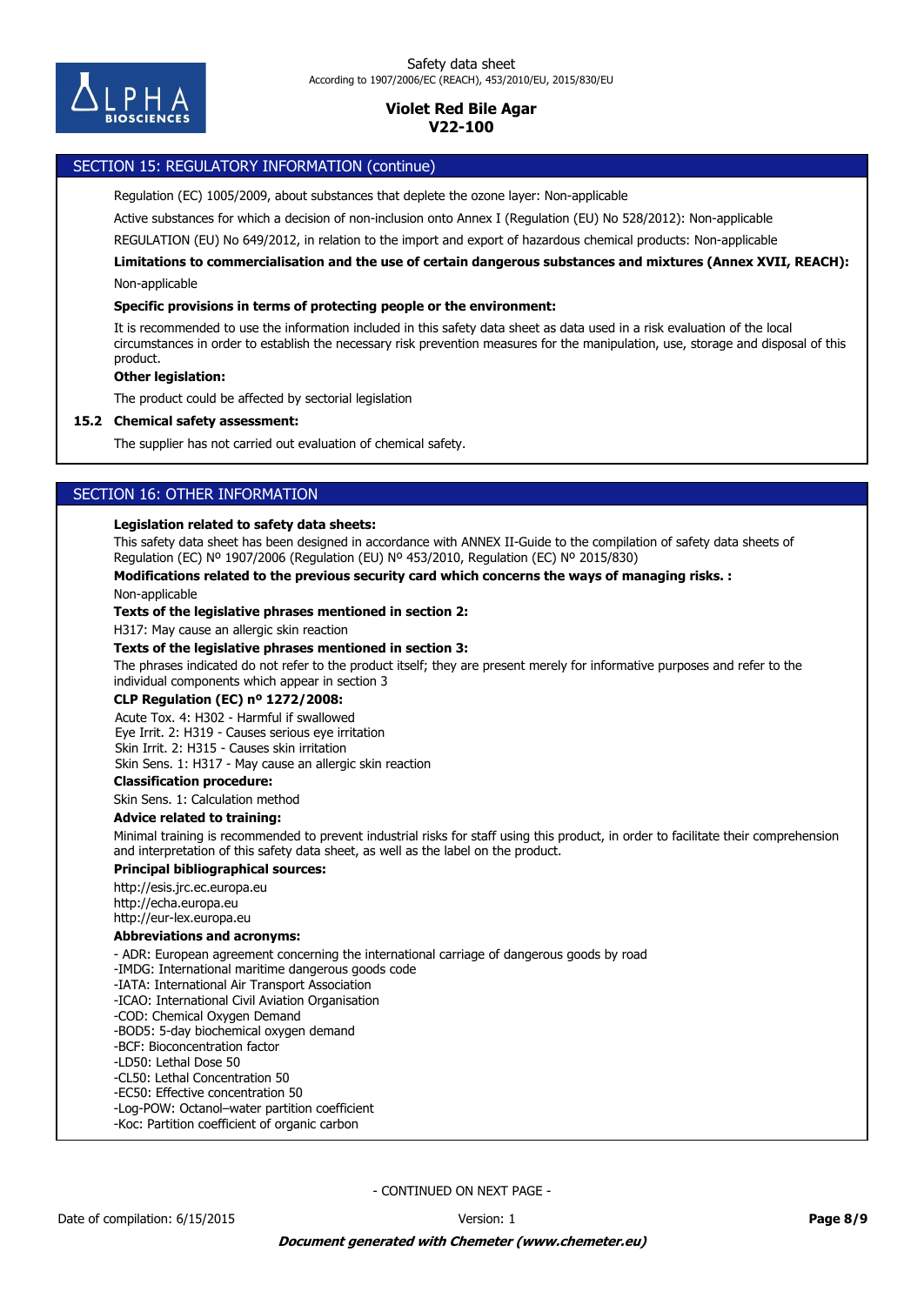

## SECTION 15: REGULATORY INFORMATION (continue)

Regulation (EC) 1005/2009, about substances that deplete the ozone layer: Non-applicable

Active substances for which a decision of non-inclusion onto Annex I (Regulation (EU) No 528/2012): Non-applicable

REGULATION (EU) No 649/2012, in relation to the import and export of hazardous chemical products: Non-applicable

Non-applicable **Limitations to commercialisation and the use of certain dangerous substances and mixtures (Annex XVII, REACH):**

### **Specific provisions in terms of protecting people or the environment:**

It is recommended to use the information included in this safety data sheet as data used in a risk evaluation of the local circumstances in order to establish the necessary risk prevention measures for the manipulation, use, storage and disposal of this product.

### **Other legislation:**

The product could be affected by sectorial legislation

### **15.2 Chemical safety assessment:**

The supplier has not carried out evaluation of chemical safety.

# SECTION 16: OTHER INFORMATION

### **Legislation related to safety data sheets:**

This safety data sheet has been designed in accordance with ANNEX II-Guide to the compilation of safety data sheets of Regulation (EC) Nº 1907/2006 (Regulation (EU) Nº 453/2010, Regulation (EC) Nº 2015/830)

### **Modifications related to the previous security card which concerns the ways of managing risks. :**

Non-applicable

### **Texts of the legislative phrases mentioned in section 2:**

H317: May cause an allergic skin reaction

# **Texts of the legislative phrases mentioned in section 3:**

The phrases indicated do not refer to the product itself; they are present merely for informative purposes and refer to the individual components which appear in section 3

## **CLP Regulation (EC) nº 1272/2008:**

Acute Tox. 4: H302 - Harmful if swallowed Eye Irrit. 2: H319 - Causes serious eye irritation Skin Irrit. 2: H315 - Causes skin irritation

Skin Sens. 1: H317 - May cause an allergic skin reaction

#### **Classification procedure:**

Skin Sens. 1: Calculation method

### **Advice related to training:**

Minimal training is recommended to prevent industrial risks for staff using this product, in order to facilitate their comprehension and interpretation of this safety data sheet, as well as the label on the product.

### **Principal bibliographical sources:**

http://esis.jrc.ec.europa.eu http://echa.europa.eu http://eur-lex.europa.eu

### **Abbreviations and acronyms:**

- ADR: European agreement concerning the international carriage of dangerous goods by road

-IMDG: International maritime dangerous goods code

- -IATA: International Air Transport Association
- -ICAO: International Civil Aviation Organisation
- -COD: Chemical Oxygen Demand
- -BOD5: 5-day biochemical oxygen demand
- -BCF: Bioconcentration factor
- -LD50: Lethal Dose 50
- -CL50: Lethal Concentration 50 -EC50: Effective concentration 50
- -Log-POW: Octanol–water partition coefficient
- -Koc: Partition coefficient of organic carbon
-